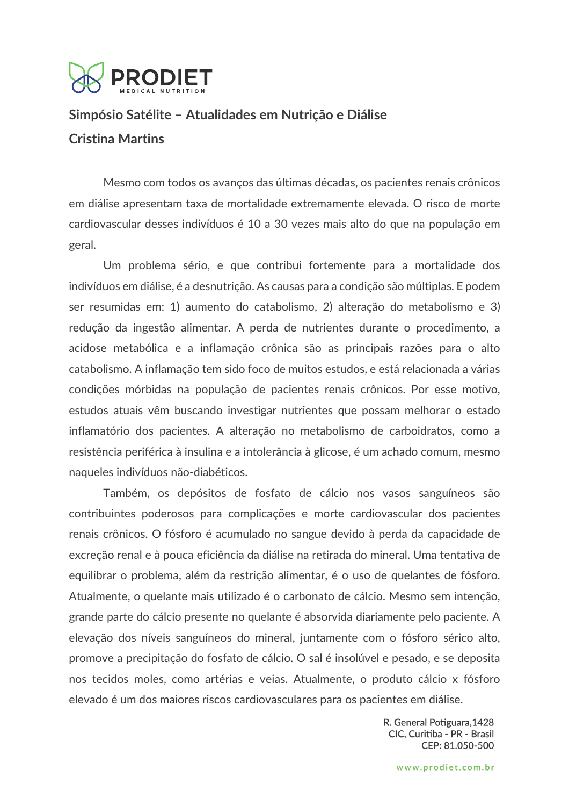

# **Simpósio Satélite – Atualidades em Nutrição e Diálise Cristina Martins**

Mesmo com todos os avanços das últimas décadas, os pacientes renais crônicos em diálise apresentam taxa de mortalidade extremamente elevada. O risco de morte cardiovascular desses indivíduos é 10 a 30 vezes mais alto do que na população em geral.

Um problema sério, e que contribui fortemente para a mortalidade dos indivíduos em diálise, é a desnutrição. As causas para a condição são múltiplas. E podem ser resumidas em: 1) aumento do catabolismo, 2) alteração do metabolismo e 3) redução da ingestão alimentar. A perda de nutrientes durante o procedimento, a acidose metabólica e a inflamação crônica são as principais razões para o alto catabolismo. A inflamação tem sido foco de muitos estudos, e está relacionada a várias condições mórbidas na população de pacientes renais crônicos. Por esse motivo, estudos atuais vêm buscando investigar nutrientes que possam melhorar o estado inflamatório dos pacientes. A alteração no metabolismo de carboidratos, como a resistência periférica à insulina e a intolerância à glicose, é um achado comum, mesmo naqueles indivíduos não-diabéticos.

Também, os depósitos de fosfato de cálcio nos vasos sanguíneos são contribuintes poderosos para complicações e morte cardiovascular dos pacientes renais crônicos. O fósforo é acumulado no sangue devido à perda da capacidade de excreção renal e à pouca eficiência da diálise na retirada do mineral. Uma tentativa de equilibrar o problema, além da restrição alimentar, é o uso de quelantes de fósforo. Atualmente, o quelante mais utilizado é o carbonato de cálcio. Mesmo sem intenção, grande parte do cálcio presente no quelante é absorvida diariamente pelo paciente. A elevação dos níveis sanguíneos do mineral, juntamente com o fósforo sérico alto, promove a precipitação do fosfato de cálcio. O sal é insolúvel e pesado, e se deposita nos tecidos moles, como artérias e veias. Atualmente, o produto cálcio x fósforo elevado é um dos maiores riscos cardiovasculares para os pacientes em diálise.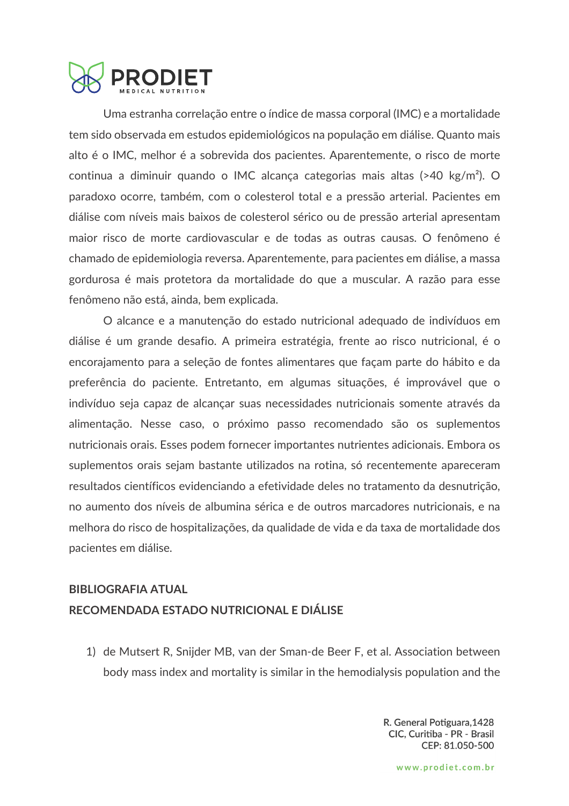

Uma estranha correlação entre o índice de massa corporal (IMC) e a mortalidade tem sido observada em estudos epidemiológicos na população em diálise. Quanto mais alto é o IMC, melhor é a sobrevida dos pacientes. Aparentemente, o risco de morte continua a diminuir quando o IMC alcança categorias mais altas (>40 kg/m²). O paradoxo ocorre, também, com o colesterol total e a pressão arterial. Pacientes em diálise com níveis mais baixos de colesterol sérico ou de pressão arterial apresentam maior risco de morte cardiovascular e de todas as outras causas. O fenômeno é chamado de epidemiologia reversa. Aparentemente, para pacientes em diálise, a massa gordurosa é mais protetora da mortalidade do que a muscular. A razão para esse fenômeno não está, ainda, bem explicada.

O alcance e a manutenção do estado nutricional adequado de indivíduos em diálise é um grande desafio. A primeira estratégia, frente ao risco nutricional, é o encorajamento para a seleção de fontes alimentares que façam parte do hábito e da preferência do paciente. Entretanto, em algumas situações, é improvável que o indivíduo seja capaz de alcançar suas necessidades nutricionais somente através da alimentação. Nesse caso, o próximo passo recomendado são os suplementos nutricionais orais. Esses podem fornecer importantes nutrientes adicionais. Embora os suplementos orais sejam bastante utilizados na rotina, só recentemente apareceram resultados científicos evidenciando a efetividade deles no tratamento da desnutrição, no aumento dos níveis de albumina sérica e de outros marcadores nutricionais, e na melhora do risco de hospitalizações, da qualidade de vida e da taxa de mortalidade dos pacientes em diálise.

## **BIBLIOGRAFIA ATUAL RECOMENDADA ESTADO NUTRICIONAL E DIÁLISE**

1) de Mutsert R, Snijder MB, van der Sman-de Beer F, et al. Association between body mass index and mortality is similar in the hemodialysis population and the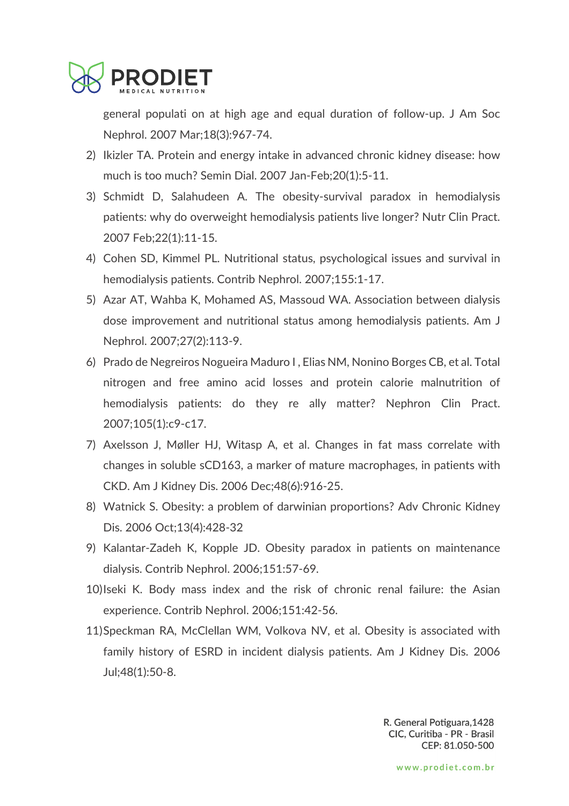

general populati on at high age and equal duration of follow-up. J Am Soc Nephrol. 2007 Mar;18(3):967-74.

- 2) Ikizler TA. Protein and energy intake in advanced chronic kidney disease: how much is too much? Semin Dial. 2007 Jan-Feb;20(1):5-11.
- 3) Schmidt D, Salahudeen A. The obesity-survival paradox in hemodialysis patients: why do overweight hemodialysis patients live longer? Nutr Clin Pract. 2007 Feb;22(1):11-15.
- 4) Cohen SD, Kimmel PL. Nutritional status, psychological issues and survival in hemodialysis patients. Contrib Nephrol. 2007;155:1-17.
- 5) Azar AT, Wahba K, Mohamed AS, Massoud WA. Association between dialysis dose improvement and nutritional status among hemodialysis patients. Am J Nephrol. 2007;27(2):113-9.
- 6) Prado de Negreiros Nogueira Maduro I , Elias NM, Nonino Borges CB, et al. Total nitrogen and free amino acid losses and protein calorie malnutrition of hemodialysis patients: do they re ally matter? Nephron Clin Pract. 2007;105(1):c9-c17.
- 7) Axelsson J, Møller HJ, Witasp A, et al. Changes in fat mass correlate with changes in soluble sCD163, a marker of mature macrophages, in patients with CKD. Am J Kidney Dis. 2006 Dec;48(6):916-25.
- 8) Watnick S. Obesity: a problem of darwinian proportions? Adv Chronic Kidney Dis. 2006 Oct;13(4):428-32
- 9) Kalantar-Zadeh K, Kopple JD. Obesity paradox in patients on maintenance dialysis. Contrib Nephrol. 2006;151:57-69.
- 10)Iseki K. Body mass index and the risk of chronic renal failure: the Asian experience. Contrib Nephrol. 2006;151:42-56.
- 11)Speckman RA, McClellan WM, Volkova NV, et al. Obesity is associated with family history of ESRD in incident dialysis patients. Am J Kidney Dis. 2006 Jul;48(1):50-8.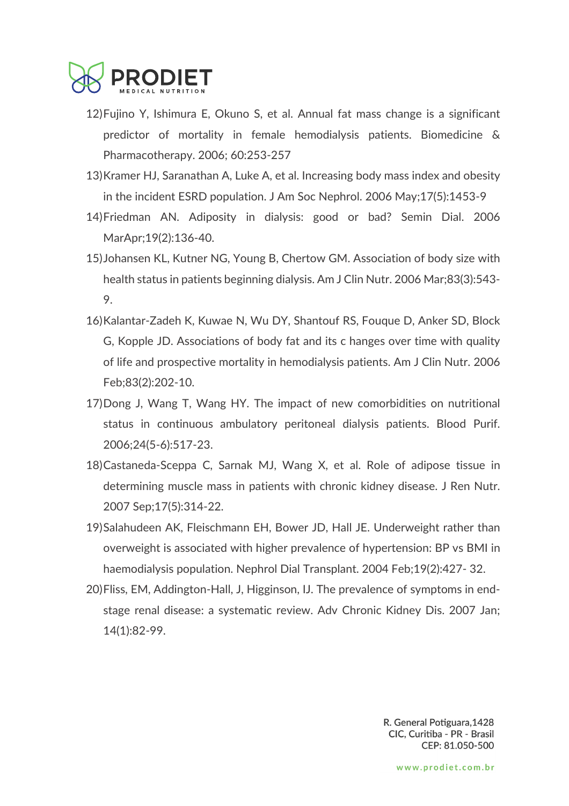

- 12)Fujino Y, Ishimura E, Okuno S, et al. Annual fat mass change is a significant predictor of mortality in female hemodialysis patients. Biomedicine & Pharmacotherapy. 2006; 60:253-257
- 13)Kramer HJ, Saranathan A, Luke A, et al. Increasing body mass index and obesity in the incident ESRD population. J Am Soc Nephrol. 2006 May;17(5):1453-9
- 14)Friedman AN. Adiposity in dialysis: good or bad? Semin Dial. 2006 MarApr;19(2):136-40.
- 15)Johansen KL, Kutner NG, Young B, Chertow GM. Association of body size with health status in patients beginning dialysis. Am J Clin Nutr. 2006 Mar;83(3):543- 9.
- 16)Kalantar-Zadeh K, Kuwae N, Wu DY, Shantouf RS, Fouque D, Anker SD, Block G, Kopple JD. Associations of body fat and its c hanges over time with quality of life and prospective mortality in hemodialysis patients. Am J Clin Nutr. 2006 Feb;83(2):202-10.
- 17)Dong J, Wang T, Wang HY. The impact of new comorbidities on nutritional status in continuous ambulatory peritoneal dialysis patients. Blood Purif. 2006;24(5-6):517-23.
- 18)Castaneda-Sceppa C, Sarnak MJ, Wang X, et al. Role of adipose tissue in determining muscle mass in patients with chronic kidney disease. J Ren Nutr. 2007 Sep;17(5):314-22.
- 19)Salahudeen AK, Fleischmann EH, Bower JD, Hall JE. Underweight rather than overweight is associated with higher prevalence of hypertension: BP vs BMI in haemodialysis population. Nephrol Dial Transplant. 2004 Feb;19(2):427- 32.
- 20)Fliss, EM, Addington-Hall, J, Higginson, IJ. The prevalence of symptoms in endstage renal disease: a systematic review. Adv Chronic Kidney Dis. 2007 Jan; 14(1):82-99.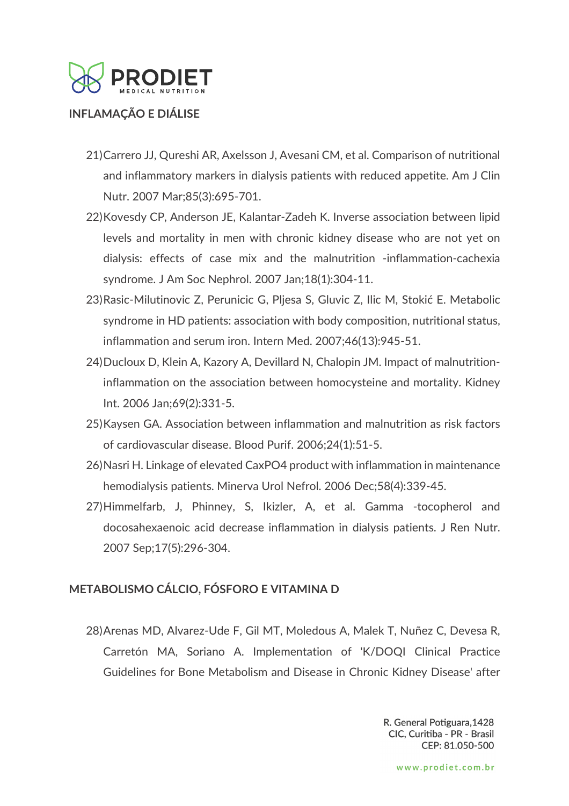

#### **INFLAMAÇÃO E DIÁLISE**

- 21)Carrero JJ, Qureshi AR, Axelsson J, Avesani CM, et al. Comparison of nutritional and inflammatory markers in dialysis patients with reduced appetite. Am J Clin Nutr. 2007 Mar;85(3):695-701.
- 22)Kovesdy CP, Anderson JE, Kalantar-Zadeh K. Inverse association between lipid levels and mortality in men with chronic kidney disease who are not yet on dialysis: effects of case mix and the malnutrition -inflammation-cachexia syndrome. J Am Soc Nephrol. 2007 Jan;18(1):304-11.
- 23)Rasic-Milutinovic Z, Perunicic G, Pljesa S, Gluvic Z, Ilic M, Stokić E. Metabolic syndrome in HD patients: association with body composition, nutritional status, inflammation and serum iron. Intern Med. 2007;46(13):945-51.
- 24)Ducloux D, Klein A, Kazory A, Devillard N, Chalopin JM. Impact of malnutritioninflammation on the association between homocysteine and mortality. Kidney Int. 2006 Jan;69(2):331-5.
- 25)Kaysen GA. Association between inflammation and malnutrition as risk factors of cardiovascular disease. Blood Purif. 2006;24(1):51-5.
- 26)Nasri H. Linkage of elevated CaxPO4 product with inflammation in maintenance hemodialysis patients. Minerva Urol Nefrol. 2006 Dec;58(4):339-45.
- 27)Himmelfarb, J, Phinney, S, Ikizler, A, et al. Gamma -tocopherol and docosahexaenoic acid decrease inflammation in dialysis patients. J Ren Nutr. 2007 Sep;17(5):296-304.

### **METABOLISMO CÁLCIO, FÓSFORO E VITAMINA D**

28)Arenas MD, Alvarez-Ude F, Gil MT, Moledous A, Malek T, Nuñez C, Devesa R, Carretón MA, Soriano A. Implementation of 'K/DOQI Clinical Practice Guidelines for Bone Metabolism and Disease in Chronic Kidney Disease' after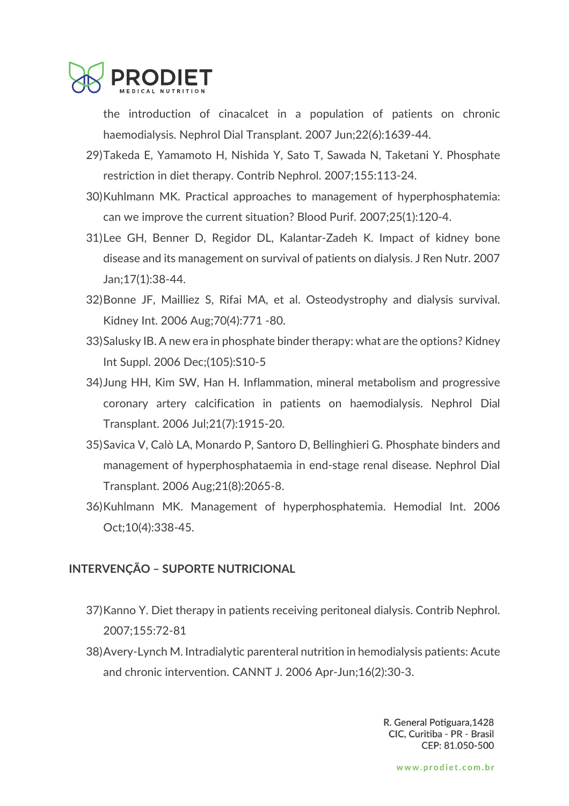

the introduction of cinacalcet in a population of patients on chronic haemodialysis. Nephrol Dial Transplant. 2007 Jun;22(6):1639-44.

- 29)Takeda E, Yamamoto H, Nishida Y, Sato T, Sawada N, Taketani Y. Phosphate restriction in diet therapy. Contrib Nephrol. 2007;155:113-24.
- 30)Kuhlmann MK. Practical approaches to management of hyperphosphatemia: can we improve the current situation? Blood Purif. 2007;25(1):120-4.
- 31)Lee GH, Benner D, Regidor DL, Kalantar-Zadeh K. Impact of kidney bone disease and its management on survival of patients on dialysis. J Ren Nutr. 2007 Jan;17(1):38-44.
- 32)Bonne JF, Mailliez S, Rifai MA, et al. Osteodystrophy and dialysis survival. Kidney Int. 2006 Aug;70(4):771 -80.
- 33)Salusky IB. A new era in phosphate binder therapy: what are the options? Kidney Int Suppl. 2006 Dec;(105):S10-5
- 34)Jung HH, Kim SW, Han H. Inflammation, mineral metabolism and progressive coronary artery calcification in patients on haemodialysis. Nephrol Dial Transplant. 2006 Jul;21(7):1915-20.
- 35)Savica V, Calò LA, Monardo P, Santoro D, Bellinghieri G. Phosphate binders and management of hyperphosphataemia in end-stage renal disease. Nephrol Dial Transplant. 2006 Aug;21(8):2065-8.
- 36)Kuhlmann MK. Management of hyperphosphatemia. Hemodial Int. 2006 Oct;10(4):338-45.

#### **INTERVENÇÃO – SUPORTE NUTRICIONAL**

- 37)Kanno Y. Diet therapy in patients receiving peritoneal dialysis. Contrib Nephrol. 2007;155:72-81
- 38)Avery-Lynch M. Intradialytic parenteral nutrition in hemodialysis patients: Acute and chronic intervention. CANNT J. 2006 Apr-Jun;16(2):30-3.